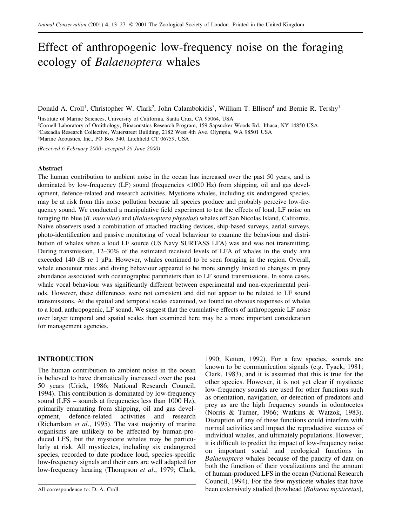# Effect of anthropogenic low-frequency noise on the foraging ecology of *Balaenoptera* whales

Donald A. Croll<sup>1</sup>, Christopher W. Clark<sup>2</sup>, John Calambokidis<sup>3</sup>, William T. Ellison<sup>4</sup> and Bernie R. Tershy<sup>1</sup>

 Institute of Marine Sciences, University of California, Santa Cruz, CA 95064, USA Cornell Laboratory of Ornithology, Bioacoustics Research Program, 159 Sapsucker Woods Rd., Ithaca, NY 14850 USA Cascadia Research Collective, Waterstreet Building, 2182 West 4th Ave. Olympia, WA 98501 USA Marine Acoustics, Inc., PO Box 340, Litchfield CT 06759, USA

*(Received 6 February 2000; accepted 26 June 2000)*

## **Abstract**

The human contribution to ambient noise in the ocean has increased over the past 50 years, and is dominated by low-frequency (LF) sound (frequencies <1000 Hz) from shipping, oil and gas development, defence-related and research activities. Mysticete whales, including six endangered species, may be at risk from this noise pollution because all species produce and probably perceive low-frequency sound. We conducted a manipulative field experiment to test the effects of loud, LF noise on foraging fin blue (*B. musculus*) and (*Balaenoptera physalus*) whales off San Nicolas Island, California. Naive observers used a combination of attached tracking devices, ship-based surveys, aerial surveys, photo-identification and passive monitoring of vocal behaviour to examine the behaviour and distribution of whales when a loud LF source (US Navy SURTASS LFA) was and was not transmitting. During transmission, 12–30% of the estimated received levels of LFA of whales in the study area exceeded 140 dB re 1 µPa. However, whales continued to be seen foraging in the region. Overall, whale encounter rates and diving behaviour appeared to be more strongly linked to changes in prey abundance associated with oceanographic parameters than to LF sound transmissions. In some cases, whale vocal behaviour was significantly different between experimental and non-experimental periods. However, these differences were not consistent and did not appear to be related to LF sound transmissions. At the spatial and temporal scales examined, we found no obvious responses of whales to a loud, anthropogenic, LF sound. We suggest that the cumulative effects of anthropogenic LF noise over larger temporal and spatial scales than examined here may be a more important consideration for management agencies.

# **INTRODUCTION**

The human contribution to ambient noise in the ocean is believed to have dramatically increased over the past 50 years (Urick, 1986; National Research Council, 1994). This contribution is dominated by low-frequency sound (LFS – sounds at frequencies less than 1000 Hz), primarily emanating from shipping, oil and gas development, defence-related activities and research (Richardson *et al*., 1995). The vast majority of marine organisms are unlikely to be affected by human-produced LFS, but the mysticete whales may be particularly at risk. All mysticetes, including six endangered species, recorded to date produce loud, species-specific low-frequency signals and their ears are well adapted for low-frequency hearing (Thompson *et al*., 1979; Clark, 1990; Ketten, 1992). For a few species, sounds are known to be communication signals (e.g. Tyack, 1981; Clark, 1983), and it is assumed that this is true for the other species. However, it is not yet clear if mysticete low-frequency sounds are used for other functions such as orientation, navigation, or detection of predators and prey as are the high frequency sounds in odontocetes (Norris & Turner, 1966; Watkins & Watzok, 1983). Disruption of any of these functions could interfere with normal activities and impact the reproductive success of individual whales, and ultimately populations. However, it is difficult to predict the impact of low-frequency noise on important social and ecological functions in *Balaenoptera* whales because of the paucity of data on both the function of their vocalizations and the amount of human-produced LFS in the ocean (National Research Council, 1994). For the few mysticete whales that have been extensively studied (bowhead (*Balaena mysticetus*),

All correspondence to: D. A. Croll.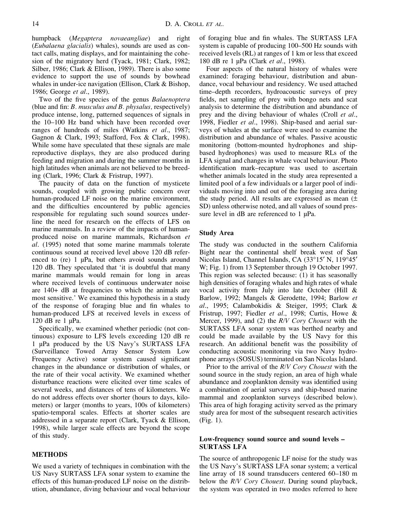humpback (*Megaptera novaeangliae*) and right (*Eubalaena glacialis*) whales), sounds are used as contact calls, mating displays, and for maintaining the cohesion of the migratory herd (Tyack, 1981; Clark, 1982; Silber, 1986; Clark & Ellison, 1989). There is also some evidence to support the use of sounds by bowhead whales in under-ice navigation (Ellison, Clark & Bishop, 1986; George *et al*., 1989).

Two of the five species of the genus *Balaenoptera* (blue and fin: *B. musculus and B. physalus,* respectively) produce intense, long, patterned sequences of signals in the 10–100 Hz band which have been recorded over ranges of hundreds of miles (Watkins *et al*., 1987; Gagnon & Clark, 1993; Stafford, Fox & Clark, 1998). While some have speculated that these signals are male reproductive displays, they are also produced during feeding and migration and during the summer months in high latitudes when animals are not believed to be breeding (Clark, 1996; Clark & Fristrup, 1997).

The paucity of data on the function of mysticete sounds, coupled with growing public concern over human-produced LF noise on the marine environment, and the difficulties encountered by public agencies responsible for regulating such sound sources underline the need for research on the effects of LFS on marine mammals. In a review of the impacts of humanproduced noise on marine mammals, Richardson *et al*. (1995) noted that some marine mammals tolerate continuous sound at received level above 120 dB referenced to (re) 1 µPa, but others avoid sounds around 120 dB. They speculated that 'it is doubtful that many marine mammals would remain for long in areas where received levels of continuous underwater noise are 140+ dB at frequencies to which the animals are most sensitive.' We examined this hypothesis in a study of the response of foraging blue and fin whales to human-produced LFS at received levels in excess of 120 dB re 1 µPa.

Specifically, we examined whether periodic (not continuous) exposure to LFS levels exceeding 120 dB re 1 µPa produced by the US Navy's SURTASS LFA (Surveillance Towed Array Sensor System Low Frequency Active) sonar system caused significant changes in the abundance or distribution of whales, or the rate of their vocal activity. We examined whether disturbance reactions were elicited over time scales of several weeks, and distances of tens of kilometers. We do not address effects over shorter (hours to days, kilometers) or larger (months to years, 100s of kilometers) spatio-temporal scales. Effects at shorter scales are addressed in a separate report (Clark, Tyack & Ellison, 1998), while larger scale effects are beyond the scope of this study.

# **METHODS**

We used a variety of techniques in combination with the US Navy SURTASS LFA sonar system to examine the effects of this human-produced LF noise on the distribution, abundance, diving behaviour and vocal behaviour of foraging blue and fin whales. The SURTASS LFA system is capable of producing 100–500 Hz sounds with received levels (RL) at ranges of 1 km or less that exceed 180 dB re 1 µPa (Clark *et al*., 1998).

Four aspects of the natural history of whales were examined: foraging behaviour, distribution and abundance, vocal behaviour and residency. We used attached time–depth recorders, hydroacoustic surveys of prey fields, net sampling of prey with bongo nets and scat analysis to determine the distribution and abundance of prey and the diving behaviour of whales (Croll *et al*., 1998, Fiedler *et al*., 1998). Ship-based and aerial surveys of whales at the surface were used to examine the distribution and abundance of whales. Passive acoustic monitoring (bottom-mounted hydrophones and shipbased hydrophones) was used to measure RLs of the LFA signal and changes in whale vocal behaviour. Photo identification mark–recapture was used to ascertain whether animals located in the study area represented a limited pool of a few individuals or a larger pool of individuals moving into and out of the foraging area during the study period. All results are expressed as mean  $(±)$ SD) unless otherwise noted, and all values of sound pressure level in dB are referenced to 1  $\mu$ Pa.

# **Study Area**

The study was conducted in the southern California Bight near the continental shelf break west of San Nicolas Island, Channel Islands, CA (33°15′ N, 119°45′ W; Fig. 1) from 13 September through 19 October 1997. This region was selected because: (1) it has seasonally high densities of foraging whales and high rates of whale vocal activity from July into late October (Hill & Barlow, 1992; Mangels & Gerodette, 1994; Barlow *et al*., 1995; Calambokidis & Steiger, 1995; Clark & Fristrup, 1997; Fiedler *et al*., 1998; Curtis, Howe & Mercer, 1999), and (2) the *R/V Cory Chouest* with the SURTASS LFA sonar system was berthed nearby and could be made available by the US Navy for this research. An additional benefit was the possibility of conducting acoustic monitoring via two Navy hydrophone arrays (SOSUS) terminated on San Nicolas Island.

Prior to the arrival of the *R/V Cory Chouest* with the sound source in the study region, an area of high whale abundance and zooplankton density was identified using a combination of aerial surveys and ship-based marine mammal and zooplankton surveys (described below). This area of high foraging activity served as the primary study area for most of the subsequent research activities (Fig. 1).

# **Low-frequency sound source and sound levels – SURTASS LFA**

The source of anthropogenic LF noise for the study was the US Navy's SURTASS LFA sonar system; a vertical line array of 18 sound transducers centered 60–180 m below the *R/V Cory Chouest*. During sound playback, the system was operated in two modes referred to here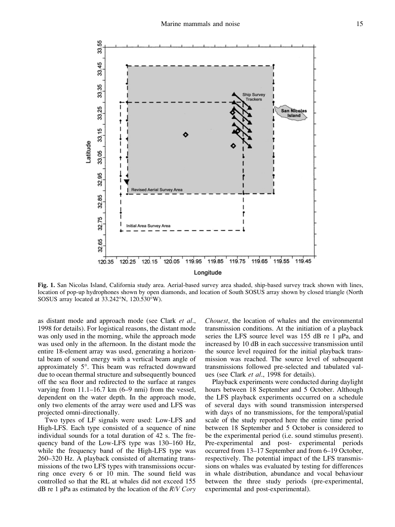

**Fig. 1.** San Nicolas Island, California study area. Aerial-based survey area shaded, ship-based survey track shown with lines, location of pop-up hydrophones shown by open diamonds, and location of South SOSUS array shown by closed triangle (North SOSUS array located at 33.242°N, 120.530°W).

as distant mode and approach mode (see Clark *et al*., 1998 for details). For logistical reasons, the distant mode was only used in the morning, while the approach mode was used only in the afternoon. In the distant mode the entire 18-element array was used, generating a horizontal beam of sound energy with a vertical beam angle of approximately 5°. This beam was refracted downward due to ocean thermal structure and subsequently bounced off the sea floor and redirected to the surface at ranges varying from 11.1–16.7 km (6–9 nmi) from the vessel, dependent on the water depth. In the approach mode, only two elements of the array were used and LFS was projected omni-directionally.

Two types of LF signals were used: Low-LFS and High-LFS. Each type consisted of a sequence of nine individual sounds for a total duration of 42 s. The frequency band of the Low-LFS type was 130–160 Hz, while the frequency band of the High-LFS type was 260–320 Hz. A playback consisted of alternating transmissions of the two LFS types with transmissions occurring once every 6 or 10 min. The sound field was controlled so that the RL at whales did not exceed 155 dB re 1 µPa as estimated by the location of the *R/V Cory* *Chouest*, the location of whales and the environmental transmission conditions. At the initiation of a playback series the LFS source level was 155 dB re 1 µPa, and increased by 10 dB in each successive transmission until the source level required for the initial playback transmission was reached. The source level of subsequent transmissions followed pre-selected and tabulated values (see Clark *et al*., 1998 for details).

Playback experiments were conducted during daylight hours between 18 September and 5 October. Although the LFS playback experiments occurred on a schedule of several days with sound transmission interspersed with days of no transmissions, for the temporal/spatial scale of the study reported here the entire time period between 18 September and 5 October is considered to be the experimental period (i.e. sound stimulus present). Pre-experimental and post- experimental periods occurred from 13–17 September and from 6–19 October, respectively. The potential impact of the LFS transmissions on whales was evaluated by testing for differences in whale distribution, abundance and vocal behaviour between the three study periods (pre-experimental, experimental and post-experimental).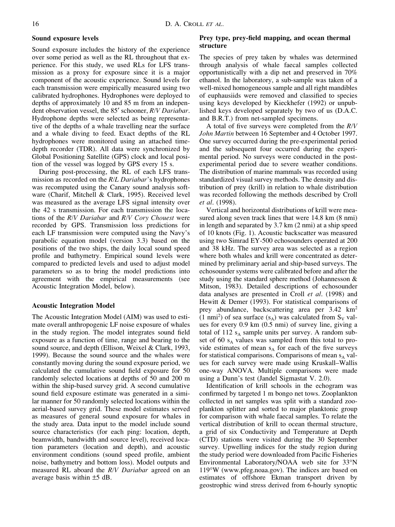# **Sound exposure levels**

Sound exposure includes the history of the experience over some period as well as the RL throughout that experience. For this study, we used RLs for LFS transmission as a proxy for exposure since it is a major component of the acoustic experience. Sound levels for each transmission were empirically measured using two calibrated hydrophones. Hydrophones were deployed to depths of approximately 10 and 85 m from an independent observation vessel, the 85′ schooner, *R/V Dariabar*. Hydrophone depths were selected as being representative of the depths of a whale travelling near the surface and a whale diving to feed. Exact depths of the RL hydrophones were monitored using an attached timedepth recorder (TDR). All data were synchronized by Global Positioning Satellite (GPS) clock and local position of the vessel was logged by GPS every 15 s.

During post-processing, the RL of each LFS transmission as recorded on the *R/L Dariabar*'s hydrophones was recomputed using the Canary sound analysis software (Charif, Mitchell & Clark, 1995). Received level was measured as the average LFS signal intensity over the 42 s transmission. For each transmission the locations of the *R/V Dariabar* and *R/V Cory Chouest* were recorded by GPS. Transmission loss predictions for each LF transmission were computed using the Navy's parabolic equation model (version 3.3) based on the positions of the two ships, the daily local sound speed profile and bathymetry. Empirical sound levels were compared to predicted levels and used to adjust model parameters so as to bring the model predictions into agreement with the empirical measurements (see Acoustic Integration Model, below).

## **Acoustic Integration Model**

The Acoustic Integration Model (AIM) was used to estimate overall anthropogenic LF noise exposure of whales in the study region. The model integrates sound field exposure as a function of time, range and bearing to the sound source, and depth (Ellison, Weixel & Clark, 1993, 1999). Because the sound source and the whales were constantly moving during the sound exposure period, we calculated the cumulative sound field exposure for 50 randomly selected locations at depths of 50 and 200 m within the ship-based survey grid. A second cumulative sound field exposure estimate was generated in a similar manner for 50 randomly selected locations within the aerial-based survey grid. These model estimates served as measures of general sound exposure for whales in the study area. Data input to the model include sound source characteristics (for each ping: location, depth, beamwidth, bandwidth and source level), received location parameters (location and depth), and acoustic environment conditions (sound speed profile, ambient noise, bathymetry and bottom loss). Model outputs and measured RL aboard the *R/V Dariabar* agreed on an average basis within ±5 dB.

# **Prey type, prey-field mapping, and ocean thermal structure**

The species of prey taken by whales was determined through analysis of whale faecal samples collected opportunistically with a dip net and preserved in 70% ethanol. In the laboratory, a sub-sample was taken of a well-mixed homogeneous sample and all right mandibles of euphausiids were removed and classified to species using keys developed by Kieckhefer (1992) or unpublished keys developed separately by two of us (D.A.C. and B.R.T.) from net-sampled specimens.

A total of five surveys were completed from the *R/V John Martin* between 16 September and 4 October 1997. One survey occurred during the pre-experimental period and the subsequent four occurred during the experimental period. No surveys were conducted in the postexperimental period due to severe weather conditions. The distribution of marine mammals was recorded using standardized visual survey methods. The density and distribution of prey (krill) in relation to whale distribution was recorded following the methods described by Croll *et al*. (1998).

Vertical and horizontal distributions of krill were measured along seven track lines that were 14.8 km (8 nmi) in length and separated by 3.7 km (2 nmi) at a ship speed of 10 knots (Fig. 1). Acoustic backscatter was measured using two Simrad EY-500 echosounders operated at 200 and 38 kHz. The survey area was selected as a region where both whales and krill were concentrated as determined by preliminary aerial and ship-based surveys. The echosounder systems were calibrated before and after the study using the standard sphere method (Johannesson & Mitson, 1983). Detailed descriptions of echosounder data analyses are presented in Croll *et al*. (1998) and Hewitt & Demer (1993). For statistical comparisons of prey abundance, backscattering area per 3.42 km2  $(1 \text{ nmi}^2)$  of sea surface  $(s_A)$  was calculated from  $S_V$  values for every 0.9 km (0.5 nmi) of survey line, giving a total of 112  $s_A$  sample units per survey. A random subset of 60  $s_A$  values was sampled from this total to provide estimates of mean  $s_A$  for each of the five surveys for statistical comparisons. Comparisons of mean  $s_A$  values for each survey were made using Kruskall–Wallis one-way ANOVA. Multiple comparisons were made using a Dunn's test (Jandel Sigmastat V. 2.0).

Identification of krill schools in the echogram was confirmed by targeted 1 m bongo net tows. Zooplankton collected in net samples was split with a standard zooplankton splitter and sorted to major planktonic group for comparison with whale faecal samples. To relate the vertical distribution of krill to ocean thermal structure, a grid of six Conductivity and Temperature at Depth (CTD) stations were visited during the 30 September survey. Upwelling indices for the study region during the study period were downloaded from Pacific Fisheries Environmental Laboratory/NOAA web site for 33°N 119°W (www.pfeg.noaa.gov). The indices are based on estimates of offshore Ekman transport driven by geostrophic wind stress derived from 6-hourly synoptic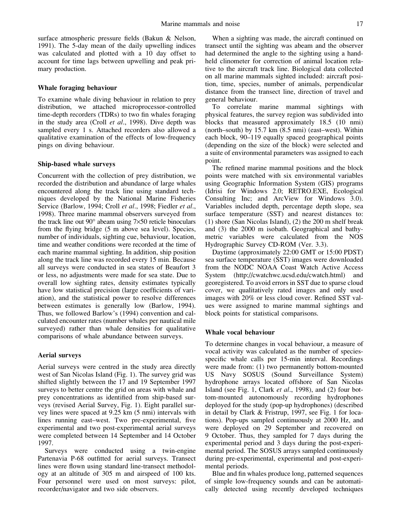surface atmospheric pressure fields (Bakun & Nelson, 1991). The 5-day mean of the daily upwelling indices was calculated and plotted with a 10 day offset to account for time lags between upwelling and peak primary production.

# **Whale foraging behaviour**

To examine whale diving behaviour in relation to prey distribution, we attached microprocessor-controlled time-depth recorders (TDRs) to two fin whales foraging in the study area (Croll *et al*., 1998). Dive depth was sampled every 1 s. Attached recorders also allowed a qualitative examination of the effects of low-frequency pings on diving behaviour.

## **Ship-based whale surveys**

Concurrent with the collection of prey distribution, we recorded the distribution and abundance of large whales encountered along the track line using standard techniques developed by the National Marine Fisheries Service (Barlow, 1994; Croll *et al*., 1998; Fiedler *et al*., 1998). Three marine mammal observers surveyed from the track line out 90° abeam using 7×50 reticle binoculars from the flying bridge (5 m above sea level). Species, number of individuals, sighting cue, behaviour, location, time and weather conditions were recorded at the time of each marine mammal sighting. In addition, ship position along the track line was recorded every 15 min. Because all surveys were conducted in sea states of Beaufort 3 or less, no adjustments were made for sea state. Due to overall low sighting rates, density estimates typically have low statistical precision (large coefficients of variation), and the statistical power to resolve differences between estimates is generally low (Barlow, 1994). Thus, we followed Barlow's (1994) convention and calculated encounter rates (number whales per nautical mile surveyed) rather than whale densities for qualitative comparisons of whale abundance between surveys.

## **Aerial surveys**

Aerial surveys were centred in the study area directly west of San Nicolas Island (Fig. 1). The survey grid was shifted slightly between the 17 and 19 September 1997 surveys to better centre the grid on areas with whale and prey concentrations as identified from ship-based surveys (revised Aerial Survey, Fig. 1). Eight parallel survey lines were spaced at 9.25 km (5 nmi) intervals with lines running east–west. Two pre-experimental, five experimental and two post-experimental aerial surveys were completed between 14 September and 14 October 1997.

Surveys were conducted using a twin-engine Partenavia P-68 outfitted for aerial surveys. Transect lines were flown using standard line-transect methodology at an altitude of 305 m and airspeed of 100 kts. Four personnel were used on most surveys: pilot, recorder/navigator and two side observers.

When a sighting was made, the aircraft continued on transect until the sighting was abeam and the observer had determined the angle to the sighting using a handheld clinometer for correction of animal location relative to the aircraft track line. Biological data collected on all marine mammals sighted included: aircraft position, time, species, number of animals, perpendicular distance from the transect line, direction of travel and general behaviour.

To correlate marine mammal sightings with physical features, the survey region was subdivided into blocks that measured approximately 18.5 (10 nmi) (north–south) by 15.7 km (8.5 nmi) (east–west). Within each block, 90–119 equally spaced geographical points (depending on the size of the block) were selected and a suite of environmental parameters was assigned to each point.

The refined marine mammal positions and the block points were matched with six environmental variables using Geographic Information System (GIS) programs (Idrisi for Windows 2.0; RETRO.EXE, Ecological Consulting Inc; and ArcView for Windows 3.0). Variables included depth, percentage depth slope, sea surface temperature (SST) and nearest distances to: (1) shore (San Nicolas Island), (2) the 200 m shelf break and (3) the 2000 m isobath. Geographical and bathymetric variables were calculated from the NOS Hydrographic Survey CD-ROM (Ver. 3.3).

Daytime (approximately 22:00 GMT or 15:00 PDST) sea surface temperature (SST) images were downloaded from the NODC NOAA Coast Watch Active Access System (http://cwatchwc.ucsd.edu/cwatch.html) and georegistered. To avoid errors in SST due to sparse cloud cover, we qualitatively rated images and only used images with 20% or less cloud cover. Refined SST values were assigned to marine mammal sightings and block points for statistical comparisons.

## **Whale vocal behaviour**

To determine changes in vocal behaviour, a measure of vocal activity was calculated as the number of speciesspecific whale calls per 15-min interval. Recordings were made from: (1) two permanently bottom-mounted US Navy SOSUS (Sound Surveillance System) hydrophone arrays located offshore of San Nicolas Island (see Fig. 1, Clark *et al*., 1998), and (2) four bottom-mounted autonomously recording hydrophones deployed for the study (pop-up hydrophones) (described in detail by Clark & Fristrup, 1997, see Fig. 1 for locations). Pop-ups sampled continuously at 2000 Hz, and were deployed on 29 September and recovered on 9 October. Thus, they sampled for 7 days during the experimental period and 3 days during the post-experimental period. The SOSUS arrays sampled continuously during pre-experimental, experimental and post-experimental periods.

Blue and fin whales produce long, patterned sequences of simple low-frequency sounds and can be automatically detected using recently developed techniques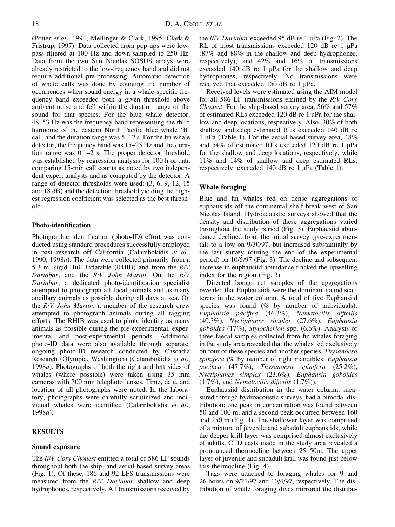(Potter *et al*., 1994; Mellinger & Clark, 1995; Clark & Fristrup, 1997). Data collected from pop-ups were lowpass filtered at 100 Hz and down-sampled to 250 Hz. Data from the two San Nicolas SOSUS arrays were already restricted to the low-frequency band and did not require additional pre-processing. Automatic detection of whale calls was done by counting the number of occurrences when sound energy in a whale-specific frequency band exceeded both a given threshold above ambient noise and fell within the duration range of the sound for that species. For the blue whale detector, 48–53 Hz was the frequency band representing the third harmonic of the eastern North Pacific blue whale 'B' call, and the duration range was 5–12 s. For the fin whale detector, the frequency band was 15–25 Hz and the duration range was 0.1–2 s. The proper detector threshold was established by regression analysis for 100 h of data comparing 15-min call counts as noted by two independent expert analysts and as computed by the detector. A range of detector thresholds were used: (3, 6, 9, 12, 15 and 18 dB) and the detection threshold yielding the highest regression coefficient was selected as the best threshold.

## **Photo-identification**

Photographic identification (photo-ID) effort was conducted using standard procedures successfully employed in past research off California (Calambokidis *et al*., 1990, 1998*a*). The data were collected primarily from a 5.3 m Rigid-Hull Inflatable (RHIB) and from the *R/V Dariabar,* and the *R/V John Martin*. On the *R/V Dariabar*, a dedicated photo-identification specialist attempted to photograph all focal animals and as many ancillary animals as possible during all days at sea. On the *R/V John Martin*, a member of the research crew attempted to photograph animals during all tagging efforts. The RHIB was used to photo-identify as many animals as possible during the pre-experimental, experimental and post-experimental periods. Additional photo-ID data were also available through separate, ongoing photo-ID research conducted by Cascadia Research (Olympia, Washington) (Calambokidis *et al*., 1998*a*). Photographs of both the right and left sides of whales (where possible) were taken using 35 mm cameras with 300 mm telephoto lenses. Time, date, and location of all photographs were noted. In the laboratory, photographs were carefully scrutinized and individual whales were identified (Calambokidis *et al*., 1998*a*).

# **RESULTS**

## **Sound exposure**

The *R/V Cory Chouest* emitted a total of 586 LF sounds throughout both the ship- and aerial-based survey areas (Fig. 1). Of these, 186 and 92 LFS transmissions were measured from the *R/V Dariabar* shallow and deep hydrophones, respectively. All transmissions received by the *R/V Dariabar* exceeded 95 dB re 1 µPa (Fig. 2). The RL of most transmissions exceeded 120 dB re 1 uPa (87% and 88% in the shallow and deep hydrophones, respectively); and 42% and 16% of transmissions exceeded 140 dB re 1 µPa for the shallow and deep hydrophones, respectively. No transmissions were received that exceeded 150 dB re 1 µPa.

Received levels were estimated using the AIM model for all 586 LF transmissions emitted by the *R/V Cory Chouest*. For the ship-based survey area, 56% and 57% of estimated RLs exceeded 120 dB re 1 µPa for the shallow and deep locations, respectively. Also, 30% of both shallow and deep estimated RLs exceeded 140 dB re 1 µPa (Table 1). For the aerial-based survey area, 48% and 54% of estimated RLs exceeded 120 dB re 1 µPa for the shallow and deep locations, respectively, while 11% and 14% of shallow and deep estimated RLs, respectively, exceeded 140 dB re 1 µPa (Table 1).

## **Whale foraging**

Blue and fin whales fed on dense aggregations of euphausiids off the continental shelf break west of San Nicolas Island. Hydroacoustic surveys showed that the density and distribution of these aggregations varied throughout the study period (Fig. 3). Euphausiid abundance declined from the initial survey (pre-experimental) to a low on 9/30/97, but increased substantially by the last survey (during the end of the experimental period) on 10/5/97 (Fig. 3). The decline and subsequent increase in euphausiid abundance tracked the upwelling index for the region (Fig. 3).

Directed bongo net samples of the aggregations revealed that Euphausiids were the dominant sound scatterers in the water column. A total of five Euphausiid species was found  $(\%$  by number of individuals): *Euphausia pacifica* (46.3%), *Nematocilis dificilis* (40.3%), *Nyctiphanes simplex* (27.6%), *Euphausia goboides* (17%), *Stylocherion* spp. (6.6%). Analysis of three faecal samples collected from fin whales foraging in the study area revealed that the whales fed exclusively on four of these species and another species, *Thysanoesa spinifera* (% by number of right mandibles: *Euphausia pacifica* (47.7%), *Thysanoesa spinifera* (25.2%), *Nyctiphanes simplex* (23.6%), *Euphausia goboides* (1.7%), and *Nematocilis dificilis* (1.7%)).

Euphausiid distribution in the water column, measured through hydroacoustic surveys, had a bimodal distribution: one peak in concentration was found between 50 and 100 m, and a second peak occurred between 160 and 250 m (Fig. 4). The shallower layer was comprised of a mixture of juvenile and subadult euphausiids, while the deeper krill layer was comprised almost exclusively of adults. CTD casts made in the study area revealed a pronounced thermocline between 25–50m. The upper layer of juvenile and subadult krill was found just below this thermocline (Fig. 4).

Tags were attached to foraging whales for 9 and 26 hours on 9/21/97 and 10/4/97, respectively. The distribution of whale foraging dives mirrored the distribu-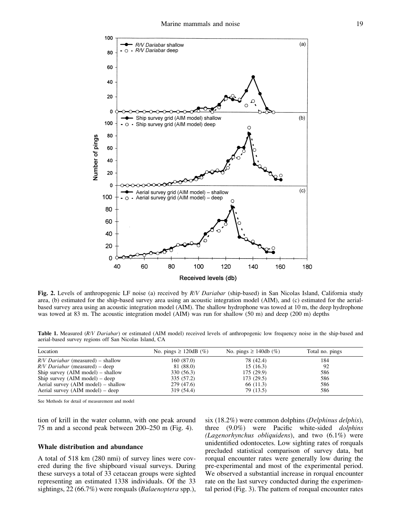

**Fig. 2.** Levels of anthropogenic LF noise (a) received by *R/V Dariabar* (ship-based) in San Nicolas Island, California study area, (b) estimated for the ship-based survey area using an acoustic integration model (AIM), and (c) estimated for the aerialbased survey area using an acoustic integration model (AIM). The shallow hydrophone was towed at 10 m, the deep hydrophone was towed at 83 m. The acoustic integration model (AIM) was run for shallow (50 m) and deep (200 m) depths

**Table 1.** Measured (*R/V Dariabar*) or estimated (AIM model) received levels of anthropogenic low frequency noise in the ship-based and aerial-based survey regions off San Nicolas Island, CA

| Location                                    | No. pings $\geq$ 120dB (%) | No. pings $\geq$ 140db (%) | Total no. pings |  |
|---------------------------------------------|----------------------------|----------------------------|-----------------|--|
| $R/V$ Dariabar (measured) – shallow         | 160(87.0)                  | 78 (42.4)                  | 184             |  |
| $R/V$ Dariabar (measured) – deep            | 81 (88.0)                  | 15(16.3)                   | 92              |  |
| Ship survey $(AIM \text{ model})$ – shallow | 330 (56.3)                 | 175(29.9)                  | 586             |  |
| Ship survey $(AIM \text{ model}) - deep$    | 335 (57.2)                 | 173 (29.5)                 | 586             |  |
| Aerial survey (AIM model) – shallow         | 279 (47.6)                 | 66 (11.3)                  | 586             |  |
| Aerial survey (AIM model) – deep            | 319 (54.4)                 | 79 (13.5)                  | 586             |  |
|                                             |                            |                            |                 |  |

See Methods for detail of measurement and model

tion of krill in the water column, with one peak around 75 m and a second peak between 200–250 m (Fig. 4).

#### **Whale distribution and abundance**

A total of 518 km (280 nmi) of survey lines were covered during the five shipboard visual surveys. During these surveys a total of 33 cetacean groups were sighted representing an estimated 1338 individuals. Of the 33 sightings, 22 (66.7%) were rorquals (*Balaenoptera* spp.),

six (18.2%) were common dolphins (*Delphinus delphis*), three (9.0%) were Pacific white-sided *dolphins (Lagenorhynchus obliquidens*), and two (6.1%) were unidentified odontocetes. Low sighting rates of rorquals precluded statistical comparison of survey data, but rorqual encounter rates were generally low during the pre-experimental and most of the experimental period. We observed a substantial increase in rorqual encounter rate on the last survey conducted during the experimental period (Fig. 3). The pattern of rorqual encounter rates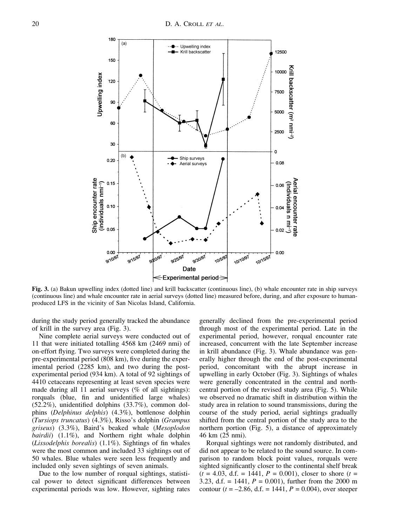

**Fig. 3.** (a) Bakun upwelling index (dotted line) and krill backscatter (continuous line), (b) whale encounter rate in ship surveys (continuous line) and whale encounter rate in aerial surveys (dotted line) measured before, during, and after exposure to humanproduced LFS in the vicinity of San Nicolas Island, California.

during the study period generally tracked the abundance of krill in the survey area (Fig. 3).

Nine complete aerial surveys were conducted out of 11 that were initiated totalling 4568 km (2469 nmi) of on-effort flying. Two surveys were completed during the pre-experimental period (808 km), five during the experimental period (2285 km), and two during the postexperimental period (934 km). A total of 92 sightings of 4410 cetaceans representing at least seven species were made during all 11 aerial surveys (% of all sightings): rorquals (blue, fin and unidentified large whales) (52.2%), unidentified dolphins (33.7%), common dolphins (*Delphinus delphis*) (4.3%), bottlenose dolphin (*Tursiops truncatus*) (4.3%), Risso's dolphin (*Grampus griseus*) (3.3%), Baird's beaked whale (*Mesoplodon bairdii*) (1.1%), and Northern right whale dolphin (*Lissodelphis borealis*) (1.1%). Sightings of fin whales were the most common and included 33 sightings out of 50 whales. Blue whales were seen less frequently and included only seven sightings of seven animals.

Due to the low number of rorqual sightings, statistical power to detect significant differences between experimental periods was low. However, sighting rates generally declined from the pre-experimental period through most of the experimental period. Late in the experimental period, however, rorqual encounter rate increased, concurrent with the late September increase in krill abundance (Fig. 3). Whale abundance was generally higher through the end of the post-experimental period, concomitant with the abrupt increase in upwelling in early October (Fig. 3). Sightings of whales were generally concentrated in the central and northcentral portion of the revised study area (Fig. 5). While we observed no dramatic shift in distribution within the study area in relation to sound transmissions, during the course of the study period, aerial sightings gradually shifted from the central portion of the study area to the northern portion (Fig. 5), a distance of approximately 46 km (25 nmi).

Rorqual sightings were not randomly distributed, and did not appear to be related to the sound source. In comparison to random block point values, rorquals were sighted significantly closer to the continental shelf break  $(t = 4.03, d.f. = 1441, P = 0.001)$ , closer to shore  $(t = 1441, t = 1441)$ 3.23, d.f. = 1441,  $P = 0.001$ ), further from the 2000 m contour ( $t = -2.86$ , d.f. = 1441,  $P = 0.004$ ), over steeper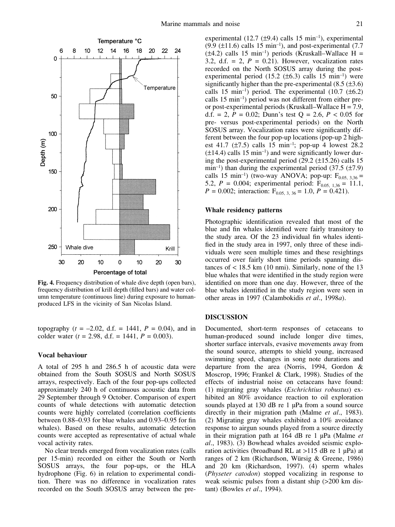

**Fig. 4.** Frequency distribution of whale dive depth (open bars), frequency distribution of krill depth (filled bars) and water column temperature (continuous line) during exposure to humanproduced LFS in the vicinity of San Nicolas Island.

topography  $(t = -2.02, d.f. = 1441, P = 0.04)$ , and in colder water  $(t = 2.98, d.f. = 1441, P = 0.003)$ .

# **Vocal behaviour**

A total of 295 h and 286.5 h of acoustic data were obtained from the South SOSUS and North SOSUS arrays, respectively. Each of the four pop-ups collected approximately 240 h of continuous acoustic data from 29 September through 9 October. Comparison of expert counts of whale detections with automatic detection counts were highly correlated (correlation coefficients between 0.88–0.93 for blue whales and 0.93–0.95 for fin whales). Based on these results, automatic detection counts were accepted as representative of actual whale vocal activity rates.

No clear trends emerged from vocalization rates (calls per 15-min) recorded on either the South or North SOSUS arrays, the four pop-ups, or the HLA hydrophone (Fig. 6) in relation to experimental condition. There was no difference in vocalization rates recorded on the South SOSUS array between the preexperimental (12.7  $(\pm 9.4)$  calls 15 min<sup>-1</sup>), experimental  $(9.9 \text{ (+}11.6)$  calls 15 min<sup>-1</sup>), and post-experimental  $(7.7)$  $(\pm 4.2)$  calls 15 min<sup>-1</sup>) periods (Kruskall–Wallace H = 3.2, d.f.  $= 2$ ,  $P = 0.21$ ). However, vocalization rates recorded on the North SOSUS array during the postexperimental period  $(15.2 \pm 6.3)$  calls 15 min<sup>-1</sup>) were significantly higher than the pre-experimental  $(8.5 (\pm 3.6))$ calls 15 min<sup>-1</sup>) period. The experimental  $(10.7 \pm 6.2)$ calls  $15 \text{ min}^{-1}$ ) period was not different from either preor post-experimental periods (Kruskall–Wallace  $H = 7.9$ , d.f. = 2,  $P = 0.02$ ; Dunn's test  $Q = 2.6$ ,  $P < 0.05$  for pre- versus post-experimental periods) on the North SOSUS array. Vocalization rates were significantly different between the four pop-up locations (pop-up 2 highest 41.7 ( $\pm$ 7.5) calls 15 min<sup>-1</sup>; pop-up 4 lowest 28.2  $(\pm 14.4)$  calls 15 min<sup>-1</sup>) and were significantly lower during the post-experimental period  $(29.2 \pm 15.26)$  calls 15 min<sup>-1</sup>) than during the experimental period (37.5 ( $\pm$ 7.9) calls 15 min<sup>-1</sup>) (two-way ANOVA; pop-up:  $F_{0.05, 3.36}$  = 5.2,  $P = 0.004$ ; experimental period:  $F_{0.05, 1,36} = 11.1$ ,  $P = 0.002$ ; interaction:  $F_{0.05, 3, 36} = 1.0, P = 0.421$ .

## **Whale residency patterns**

Photographic identification revealed that most of the blue and fin whales identified were fairly transitory to the study area. Of the 23 individual fin whales identified in the study area in 1997, only three of these individuals were seen multiple times and these resightings occurred over fairly short time periods spanning distances of  $\lt$  18.5 km (10 nmi). Similarly, none of the 13 blue whales that were identified in the study region were identified on more than one day. However, three of the blue whales identified in the study region were seen in other areas in 1997 (Calambokidis *et al*., 1998*a*).

# **DISCUSSION**

Documented, short-term responses of cetaceans to human-produced sound include longer dive times, shorter surface intervals, evasive movements away from the sound source, attempts to shield young, increased swimming speed, changes in song note durations and departure from the area (Norris, 1994, Gordon & Moscrop, 1996; Frankel & Clark, 1998). Studies of the effects of industrial noise on cetaceans have found: (1) migrating gray whales (*Eschrichtius robustus*) exhibited an 80% avoidance reaction to oil exploration sounds played at 130 dB re 1 µPa from a sound source directly in their migration path (Malme *et al*., 1983). (2) Migrating gray whales exhibited a 10% avoidance response to airgun sounds played from a source directly in their migration path at 164 dB re 1 µPa (Malme *et al*., 1983). (3) Bowhead whales avoided seismic exploration activities (broadband RL at >115 dB re 1 µPa) at ranges of 2 km (Richardson, Würsig & Greene, 1986) and 20 km (Richardson, 1997). (4) sperm whales (*Physeter catodon*) stopped vocalizing in response to weak seismic pulses from a distant ship (>200 km distant) (Bowles *et al*., 1994).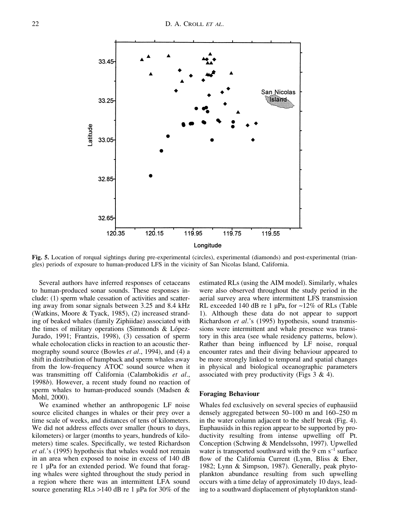

**Fig. 5.** Location of rorqual sightings during pre-experimental (circles), experimental (diamonds) and post-experimental (triangles) periods of exposure to human-produced LFS in the vicinity of San Nicolas Island, California.

Several authors have inferred responses of cetaceans to human-produced sonar sounds. These responses include: (1) sperm whale cessation of activities and scattering away from sonar signals between 3.25 and 8.4 kHz (Watkins, Moore & Tyack, 1985), (2) increased stranding of beaked whales (family Ziphiidae) associated with the times of military operations (Simmonds & López-Jurado, 1991; Frantzis, 1998), (3) cessation of sperm whale echolocation clicks in reaction to an acoustic thermography sound source (Bowles *et al*., 1994), and (4) a shift in distribution of humpback and sperm whales away from the low-frequency ATOC sound source when it was transmitting off California (Calambokidis *et al*., 1998*b*). However, a recent study found no reaction of sperm whales to human-produced sounds (Madsen & Mohl, 2000).

We examined whether an anthropogenic LF noise source elicited changes in whales or their prey over a time scale of weeks, and distances of tens of kilometers. We did not address effects over smaller (hours to days, kilometers) or larger (months to years, hundreds of kilometers) time scales. Specifically, we tested Richardson *et al*.'s (1995) hypothesis that whales would not remain in an area when exposed to noise in excess of 140 dB re 1 µPa for an extended period. We found that foraging whales were sighted throughout the study period in a region where there was an intermittent LFA sound source generating RLs >140 dB re 1 µPa for 30% of the estimated RLs (using the AIM model). Similarly, whales were also observed throughout the study period in the aerial survey area where intermittent LFS transmission RL exceeded 140 dB re 1 µPa, for ~12% of RLs (Table 1). Although these data do not appear to support Richardson *et al*.'s (1995) hypothesis, sound transmissions were intermittent and whale presence was transitory in this area (see whale residency patterns, below). Rather than being influenced by LF noise, rorqual encounter rates and their diving behaviour appeared to be more strongly linked to temporal and spatial changes in physical and biological oceanographic parameters associated with prey productivity (Figs 3 & 4).

#### **Foraging Behaviour**

Whales fed exclusively on several species of euphausiid densely aggregated between 50–100 m and 160–250 m in the water column adjacent to the shelf break (Fig. 4). Euphausiids in this region appear to be supported by productivity resulting from intense upwelling off Pt. Conception (Schwing & Mendelssohn, 1997). Upwelled water is transported southward with the 9 cm  $s^{-1}$  surface flow of the California Current (Lynn, Bliss & Eber, 1982; Lynn & Simpson, 1987). Generally, peak phytoplankton abundance resulting from such upwelling occurs with a time delay of approximately 10 days, leading to a southward displacement of phytoplankton stand-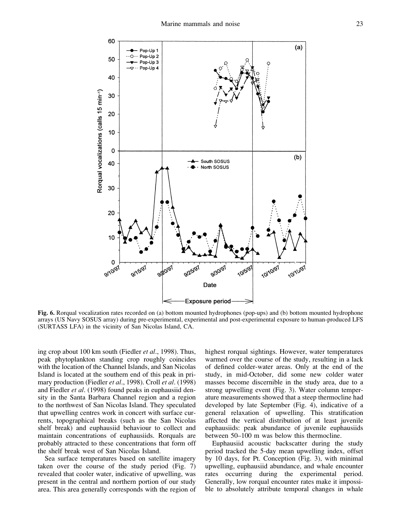

**Fig. 6.** Rorqual vocalization rates recorded on (a) bottom mounted hydrophones (pop-ups) and (b) bottom mounted hydrophone arrays (US Navy SOSUS array) during pre-experimental, experimental and post-experimental exposure to human-produced LFS (SURTASS LFA) in the vicinity of San Nicolas Island, CA.

ing crop about 100 km south (Fiedler *et al*., 1998). Thus, peak phytoplankton standing crop roughly coincides with the location of the Channel Islands, and San Nicolas Island is located at the southern end of this peak in primary production (Fiedler *et al*., 1998). Croll *et al*. (1998) and Fiedler *et al*. (1998) found peaks in euphausiid density in the Santa Barbara Channel region and a region to the northwest of San Nicolas Island. They speculated that upwelling centres work in concert with surface currents, topographical breaks (such as the San Nicolas shelf break) and euphausiid behaviour to collect and maintain concentrations of euphausiids. Rorquals are probably attracted to these concentrations that form off the shelf break west of San Nicolas Island.

Sea surface temperatures based on satellite imagery taken over the course of the study period (Fig. 7) revealed that cooler water, indicative of upwelling, was present in the central and northern portion of our study area. This area generally corresponds with the region of highest rorqual sightings. However, water temperatures warmed over the course of the study, resulting in a lack of defined colder-water areas. Only at the end of the study, in mid-October, did some new colder water masses become discernible in the study area, due to a strong upwelling event (Fig. 3). Water column temperature measurements showed that a steep thermocline had developed by late September (Fig. 4), indicative of a general relaxation of upwelling. This stratification affected the vertical distribution of at least juvenile euphausiids: peak abundance of juvenile euphausiids between 50–100 m was below this thermocline.

Euphausiid acoustic backscatter during the study period tracked the 5-day mean upwelling index, offset by 10 days, for Pt. Conception (Fig. 3), with minimal upwelling, euphausiid abundance, and whale encounter rates occurring during the experimental period. Generally, low rorqual encounter rates make it impossible to absolutely attribute temporal changes in whale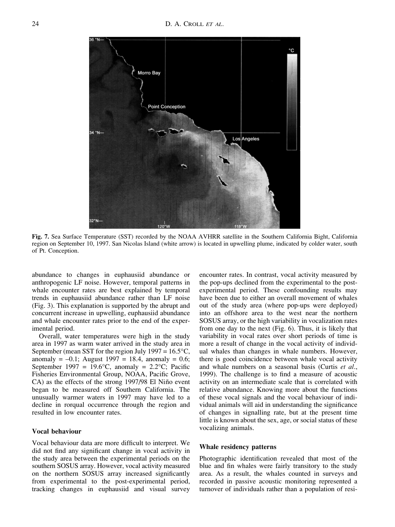

**Fig. 7.** Sea Surface Temperature (SST) recorded by the NOAA AVHRR satellite in the Southern California Bight, California region on September 10, 1997. San Nicolas Island (white arrow) is located in upwelling plume, indicated by colder water, south of Pt. Conception.

abundance to changes in euphausiid abundance or anthropogenic LF noise. However, temporal patterns in whale encounter rates are best explained by temporal trends in euphausiid abundance rather than LF noise (Fig. 3). This explanation is supported by the abrupt and concurrent increase in upwelling, euphausiid abundance and whale encounter rates prior to the end of the experimental period.

Overall, water temperatures were high in the study area in 1997 as warm water arrived in the study area in September (mean SST for the region July 1997 =  $16.5^{\circ}$ C, anomaly =  $-0.1$ ; August 1997 = 18.4, anomaly = 0.6; September 1997 = 19.6 $\degree$ C, anomaly = 2.2 $\degree$ C; Pacific Fisheries Environmental Group, NOAA, Pacific Grove, CA) as the effects of the strong 1997/98 El Niño event began to be measured off Southern California. The unusually warmer waters in 1997 may have led to a decline in rorqual occurrence through the region and resulted in low encounter rates.

## **Vocal behaviour**

Vocal behaviour data are more difficult to interpret. We did not find any significant change in vocal activity in the study area between the experimental periods on the southern SOSUS array. However, vocal activity measured on the northern SOSUS array increased significantly from experimental to the post-experimental period, tracking changes in euphausiid and visual survey

encounter rates. In contrast, vocal activity measured by the pop-ups declined from the experimental to the postexperimental period. These confounding results may have been due to either an overall movement of whales out of the study area (where pop-ups were deployed) into an offshore area to the west near the northern SOSUS array, or the high variability in vocalization rates from one day to the next (Fig. 6). Thus, it is likely that variability in vocal rates over short periods of time is more a result of change in the vocal activity of individual whales than changes in whale numbers. However, there is good coincidence between whale vocal activity and whale numbers on a seasonal basis (Curtis *et al*., 1999). The challenge is to find a measure of acoustic activity on an intermediate scale that is correlated with relative abundance. Knowing more about the functions of these vocal signals and the vocal behaviour of individual animals will aid in understanding the significance of changes in signalling rate, but at the present time little is known about the sex, age, or social status of these vocalizing animals.

# **Whale residency patterns**

Photographic identification revealed that most of the blue and fin whales were fairly transitory to the study area. As a result, the whales counted in surveys and recorded in passive acoustic monitoring represented a turnover of individuals rather than a population of resi-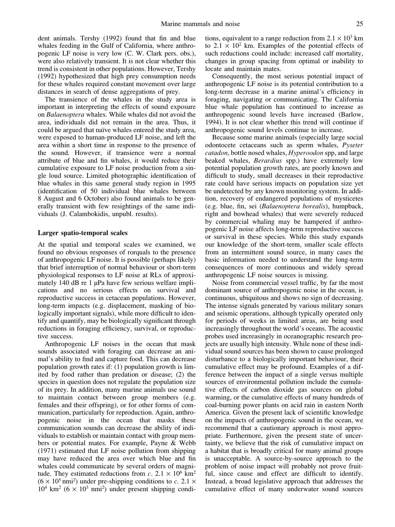dent animals. Tershy (1992) found that fin and blue whales feeding in the Gulf of California, where anthropogenic LF noise is very low (C. W. Clark pers. obs.), were also relatively transient. It is not clear whether this trend is consistent in other populations. However, Tershy (1992) hypothesized that high prey consumption needs for these whales required constant movement over large distances in search of dense aggregations of prey.

The transience of the whales in the study area is important in interpreting the effects of sound exposure on *Balaenoptera* whales. While whales did not avoid the area, individuals did not remain in the area. Thus, it could be argued that naïve whales entered the study area, were exposed to human-produced LF noise, and left the area within a short time in response to the presence of the sound. However, if transience were a normal attribute of blue and fin whales, it would reduce their cumulative exposure to LF noise production from a single loud source. Limited photographic identification of blue whales in this same general study region in 1995 (identification of 50 individual blue whales between 8 August and 6 October) also found animals to be generally transient with few resightings of the same individuals (J. Calambokidis, unpubl. results).

## **Larger spatio-temporal scales**

At the spatial and temporal scales we examined, we found no obvious responses of rorquals to the presence of anthropogenic LF noise. It is possible (perhaps likely) that brief interruption of normal behaviour or short-term physiological responses to LF noise at RLs of approximately 140 dB re 1 uPa have few serious welfare implications and no serious effects on survival and reproductive success in cetacean populations. However, long-term impacts (e.g. displacement, masking of biologically important signals), while more difficult to identify and quantify, may be biologically significant through reductions in foraging efficiency, survival, or reproductive success.

Anthropogenic LF noises in the ocean that mask sounds associated with foraging can decrease an animal's ability to find and capture food. This can decrease population growth rates if: (1) population growth is limited by food rather than predation or disease; (2) the species in question does not regulate the population size of its prey. In addition, many marine animals use sound to maintain contact between group members (e.g. females and their offspring), or for other forms of communication, particularly for reproduction. Again, anthropogenic noise in the ocean that masks these communication sounds can decrease the ability of individuals to establish or maintain contact with group members or potential mates. For example, Payne & Webb (1971) estimated that LF noise pollution from shipping may have reduced the area over which blue and fin whales could communicate by several orders of magnitude. They estimated reductions from *c*.  $2.1 \times 10^6$  km<sup>2</sup>  $(6 \times 10^5 \text{ nm}^2)$  under pre-shipping conditions to *c*. 2.1 ×  $10^4$  km<sup>2</sup> ( $6 \times 10^3$  nmi<sup>2</sup>) under present shipping conditions, equivalent to a range reduction from  $2.1 \times 10^3$  km to  $2.1 \times 10^2$  km. Examples of the potential effects of such reductions could include: increased calf mortality, changes in group spacing from optimal or inability to locate and maintain mates.

Consequently, the most serious potential impact of anthropogenic LF noise is its potential contribution to a long-term decrease in a marine animal's efficiency in foraging, navigating or communicating. The California blue whale population has continued to increase as anthropogenic sound levels have increased (Barlow, 1994). It is not clear whether this trend will continue if anthropogenic sound levels continue to increase.

Because some marine animals (especially large social odontocete cetaceans such as sperm whales, *Pyseter catadon*, bottle nosed whales, *Hyperoodon* spp, and large beaked whales, *Berardius* spp.) have extremely low potential population growth rates, are poorly known and difficult to study, small decreases in their reproductive rate could have serious impacts on population size yet be undetected by any known monitoring system. In addition, recovery of endangered populations of mysticetes (e.g. blue, fin, sei (*Balaenoptera borealis*), humpback, right and bowhead whales) that were severely reduced by commercial whaling may be hampered if anthropogenic LF noise affects long-term reproductive success or survival in these species. While this study expands our knowledge of the short-term, smaller scale effects from an intermittent sound source, in many cases the basic information needed to understand the long-term consequences of more continuous and widely spread anthropogenic LF noise sources is missing.

Noise from commercial vessel traffic, by far the most dominant source of anthropogenic noise in the ocean, is continuous, ubiquitous and shows no sign of decreasing. The intense signals generated by various military sonars and seismic operations, although typically operated only for periods of weeks in limited areas, are being used increasingly throughout the world's oceans. The acoustic probes used increasingly in oceanographic research projects are usually high intensity. While none of these individual sound sources has been shown to cause prolonged disturbance to a biologically important behaviour, their cumulative effect may be profound. Examples of a difference between the impact of a single versus multiple sources of environmental pollution include the cumulative effects of carbon dioxide gas sources on global warming, or the cumulative effects of many hundreds of coal-burning power plants on acid rain in eastern North America. Given the present lack of scientific knowledge on the impacts of anthropogenic sound in the ocean, we recommend that a cautionary approach is most appropriate. Furthermore, given the present state of uncertainty, we believe that the risk of cumulative impact on a habitat that is broadly critical for many animal groups is unacceptable. A source-by-source approach to the problem of noise impact will probably not prove fruitful, since cause and effect are difficult to identify. Instead, a broad legislative approach that addresses the cumulative effect of many underwater sound sources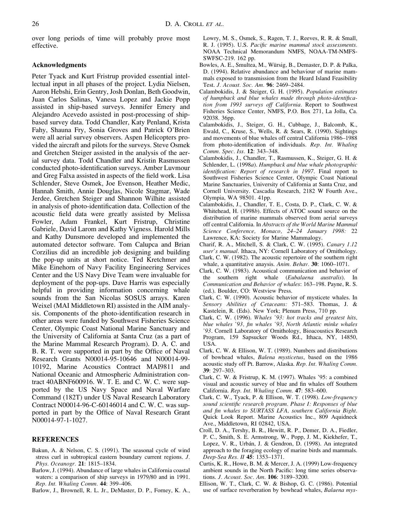over long periods of time will probably prove most effective.

# **Acknowledgments**

Peter Tyack and Kurt Fristrup provided essential intellectual input in all phases of the project. Lydia Nielsen, Aaron Hebshi, Erin Gentry, Josh Donlan, Beth Goodwin, Juan Carlos Salinas, Vanesa Lopez and Jackie Popp assisted in ship-based surveys. Jennifer Emery and Alejandro Acevedo assisted in post-processing of shipbased survey data. Todd Chandler, Katy Penland, Krista Fahy, Shauna Fry, Sonia Groves and Patrick O'Brien were all aerial survey observers. Aspen Helicopters provided the aircraft and pilots for the surveys. Steve Osmek and Gretchen Steiger assisted in the analysis of the aerial survey data. Todd Chandler and Kristin Rasmussen conducted photo-identification surveys. Amber Luvmour and Greg Falxa assisted in aspects of the field work. Lisa Schlender, Steve Osmek, Joe Evenson, Heather Medic, Hannah Smith, Annie Douglas, Nicole Stagmar, Wade Jerdee, Gretchen Steiger and Shannon Wilhite assisted in analysis of photo-identification data. Collection of the acoustic field data were greatly assisted by Melissa Fowler, Adam Frankel, Kurt Fristrup, Christine Gabriele, David Larom and Kathy Vigness. Harold Mills and Kathy Dunsmore developed and implemented the automated detector software. Tom Calupca and Brian Corzilius did an incredible job designing and building the pop-up units at short notice. Ted Kretchmer and Mike Einehorn of Navy Facility Engineering Services Center and the US Navy Dive Team were invaluable for deployment of the pop-ups. Dave Harris was especially helpful in providing information concerning whale sounds from the San Nicolas SOSUS arrays. Karen Weixel (MAI Middletown RI) assisted in the AIM analysis. Components of the photo-identification research in other areas were funded by Southwest Fisheries Science Center, Olympic Coast National Marine Sanctuary and the University of California at Santa Cruz (as a part of the Marine Mammal Research Program). D. A. C. and B. R. T. were supported in part by the Office of Naval Research Grants N00014-95-10646 and N00014-99- 10192, Marine Acoustics Contract MAI9811 and National Oceanic and Atmospheric Administration contract 40ABNF600916. W. T. E. and C. W. C. were supported by the US Navy Space and Naval Warfare Command (182T) under US Naval Research Laboratory Contract N00014-96-C-60146014 and C. W. C. was supported in part by the Office of Naval Research Grant N00014-97-1-1027.

# **REFERENCES**

- Bakun, A. & Nelson, C. S. (1991). The seasonal cycle of wind stress curl in subtropical eastern boundary current regions. *J. Phys. Oceanogr.* **21**: 1815–1834.
- Barlow, J. (1994). Abundance of large whales in California coastal waters: a comparison of ship surveys in 1979/80 and in 1991. *Rep. Int. Whaling Comm.* **44**: 399–406.
- Barlow, J., Brownell, R. L. Jr., DeMaster, D. P., Forney, K. A.,
- Lowry, M. S., Osmek, S., Ragen, T. J., Reeves, R. R. & Small, R. J. (1995). U.S. *Pacific marine mammal stock assessments.* NOAA Technical Memorandum NMFS, NOAA-TM-NMFS-SWFSC-219. 162 pp.
- Bowles, A. E., Smultea, M., Würsig, B., Demaster, D. P. & Palka, D. (1994). Relative abundance and behaviour of marine mammals exposed to transmission from the Heard Island Feasibility Test. *J. Acoust. Soc. Am.* **96**: 2469–2484.
- Calambokidis, J. & Steiger, G. H. (1995). *Population estimates of humpback and blue whales made through photo-identification from 1993 surveys off California.* Report to Southwest Fisheries Science Center, NMFS, P.O. Box 271, La Jolla, Ca. 92038. 36pp.
- Calambokidis, J., Steiger, G. H., Cubbage, J., Balcomb, K., Ewald, C., Kruse, S., Wells, R. & Sears, R. (1990). Sightings and movements of blue whales off central California 1986–1988 from photo-identification of individuals. *Rep. Int. Whaling Comm. Spec. Iss.* **12**: 343–348.
- Calambokidis, J., Chandler, T., Rasmussen, K., Steiger, G. H. & Schlender, L. (1998*a*). *Humpback and blue whale photographic identification: Report of research in 1997*. Final report to Southwest Fisheries Science Center, Olympic Coast National Marine Sanctuaries, University of California at Santa Cruz, and Cornell University. Cascadia Research, 2182 W Fourth Ave., Olympia, WA 98501. 41pp.
- Calambokidis, J., Chandler, T. E., Costa, D. P., Clark, C. W. & Whitehead, H. (1998*b*). Effects of ATOC sound source on the distribution of marine mammals observed from aerial surveys off central California. In *Abstracts of the World Marine Mammal Science Conference, Monaco, 24–24 January 1998:* 22 Lawrence, KA: Society for Marine Mammalogy.
- Charif, R. A., Mitchell, S. & Clark, C. W. (1995). *Canary 1.12 user's manual*. Ithaca, NY: Cornell Laboratory of Ornithology.
- Clark, C. W. (1982). The acoustic repertoire of the southern right whale, a quantitative anaysis. *Anim. Behav.* **30**: 1060–1071.
- Clark, C. W. (1983). Acoustical communication and behavior of the southern right whale (*Eubalaena australis*). In *Communication and Behavior of whales*: 163–198. Payne, R. S. (ed.). Boulder, CO: Westview Press.
- Clark, C. W. (1990). Acoustic behavior of mysticete whales. In *Sensory Abilities of Cetaceans:* 571–583. Thomas, J. & Kastelein, R. (Eds). New York; Plenum Press, 710 pp.
- Clark, C. W. (1996). *Whales '93: hot tracks and greatest hits, blue whales '93, fin whales '93, North Atlantic minke whales '93*. Cornell Laboratory of Ornithology, Bioacoustics Research Program, 159 Sapsucker Woods Rd., Ithaca, NY, 14850, USA.
- Clark, C. W. & Ellison, W. T. (1989). Numbers and distributions of bowhead whales, *Balena mysticetus*, based on the 1986 acoustic study off Pt. Barrow, Alaska. *Rep. Int. Whaling Comm.* **39**: 297–303.
- Clark, C. W. & Fristrup, K. M. (1997). Whales '95: a combined visual and acoustic survey of blue and fin whales off Southern California. *Rep. Int. Whaling Comm.* **47**: 583–600.
- Clark, C. W., Tyack, P. & Ellison, W. T. (1998). *Low-frequency sound scientific research program. Phase I: Responses of blue and fin whales to SURTASS LFA, southern California Bight*. Quick Look Report. Marine Acoustics Inc., 809 Aquidneck Ave., Middletown, RI 02842, USA.
- Croll, D. A., Tershy, B. R., Hewitt, R. P., Demer, D. A., Fiedler, P. C., Smith, S. E. Armstrong, W., Popp, J. M., Kiekhefer, T., Lopez, V. R., Urbán, J. & Gendron, D. (1998). An integrated approach to the foraging ecology of marine birds and mammals. *Deep-Sea Res. II* **45**: 1353–1371.
- Curtis, K. R., Howe, B. M. & Mercer, J. A. (1999) Low-frequency ambient sounds in the North Pacific: long time series observations. *J. Acoust. Soc. Am.* **106**: 3189–3200.
- Ellison, W. T., Clark, C. W. & Bishop, G. C. (1986). Potential use of surface reverberation by bowhead whales, *Balaena mys-*